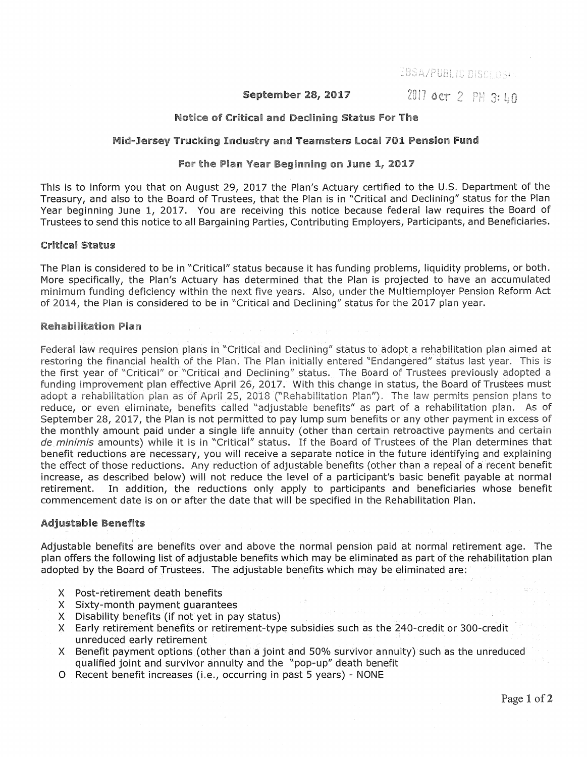EBSA/PUBLIC DISCLOSH

**September 28, 2017** 2017 **0ct** 2 PH 3: 40

## Notice of Critical and Declining Status For The

## Mid-Jersey Trucking Industry and Teamsters Local 701 Pension Fund

## For the Plan Year Beginning on June 1, 2017

This is to inform you that on August 29, 2017 the Plan's Actuary certified to the U.S. Department of the Treasury, and also to the Board of Trustees, that the Plan is in "Critical and Declining" status for the Plan Year beginning June 1, 2017. You are receiving this notice because federal law requires the Board of Trustees to send this notice to all Bargaining Parties, Contributing Employers, Participants, and Beneficiaries.

## Critical Status

The Plan is considered to be in "Critical" status because it has funding problems, liquidity problems, or both. More specifically, the Plan's Actuary has determined that the Plan is projected to have an accumulated minimum funding deficiency within the next five years. Also, under the Multiemployer Pension Reform Act of 2014, the Plan is considered to be in "Critical and Declining" status for the 2017 plan year.

# Rehabilitation Plan

Federal law requires pension plans in "Critical and Declining" status to adopt a rehabilitation plan aimed at restoring the financial health of the Plan. The Plan initially entered ''Endangered" status last year. This is the first year of "Critical" or "Critical and Declining" status. The Board of Trustees previously adopted a funding improvement plan effective April 26, 2017. With this change in status, the Board of Trustees must adopt a rehabilitation plan as of April 25, 2018 ("Rehabilitation Plan"). The law permits pension plans to reduce, or even eliminate, benefits called "adjustable benefits" as part of a rehabilitation plan. As of September 28, 2017, the Plan is not permitted to pay lump sum benefits or any other payment in excess of the monthly amount paid under a single life annuity (other than certain retroactive payments and certain de minimis amounts) while it is in "Critical" status. If the Board of Trustees of the Plan determines that benefit reductions are necessary, you will receive a separate notice in the future identifying and explaining the effect of those reductions. Any reduction of adjustable benefits (other than a repeal of a recent benefit increase, as described below) will not reduce the level of a participant's basic benefit payable at normal retirement. In addition, the reductions only apply to participants and beneficiaries whose benefit commencement date is on or after the date that will be specified in the Rehabilitation Plan.

# Adjustable Benefits

Adjustable benefits are benefits over and above the normal pension paid at normal retirement age. The plan offers the following list of adjustable benefits which may be eliminated as part of the rehabilitation plan adopted by the Board of Trustees. The adjustable benefits which may be eliminated are:

- X Post-retirement death benefits
- X Sixty:-month payment guarantees
- X Disability benefits (if not yet in pay status) .
- X Early retirement benefits or retirement-type subsidies such as the 240-credit or 300-credit unreduced early retirement
- X Benefit payment options (other than a joint and 50% survivor annuity) such as the unreduced qualified joint and survivor annuity and the "pop-up" death benefit
- 0 Recent benefit increases (i.e., occurring in past 5 years) NONE